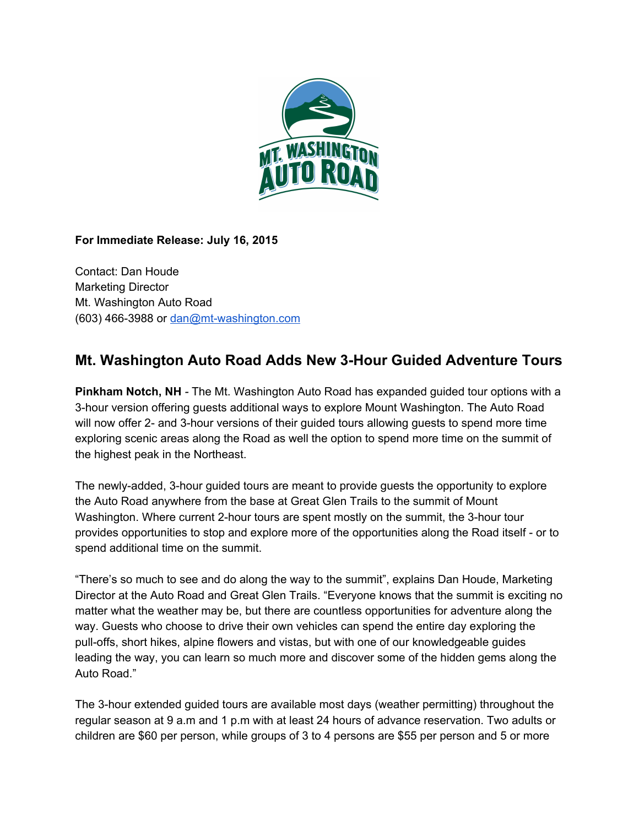

## **For Immediate Release: July 16, 2015**

Contact: Dan Houde Marketing Director Mt. Washington Auto Road (603) 466-3988 or dan@mt-washington.com

## **Mt. Washington Auto Road Adds New 3Hour Guided Adventure Tours**

**Pinkham Notch, NH** The Mt. Washington Auto Road has expanded guided tour options with a 3hour version offering guests additional ways to explore Mount Washington. The Auto Road will now offer 2- and 3-hour versions of their guided tours allowing guests to spend more time exploring scenic areas along the Road as well the option to spend more time on the summit of the highest peak in the Northeast.

The newly-added, 3-hour guided tours are meant to provide guests the opportunity to explore the Auto Road anywhere from the base at Great Glen Trails to the summit of Mount Washington. Where current 2-hour tours are spent mostly on the summit, the 3-hour tour provides opportunities to stop and explore more of the opportunities along the Road itself - or to spend additional time on the summit.

"There's so much to see and do along the way to the summit", explains Dan Houde, Marketing Director at the Auto Road and Great Glen Trails. "Everyone knows that the summit is exciting no matter what the weather may be, but there are countless opportunities for adventure along the way. Guests who choose to drive their own vehicles can spend the entire day exploring the pull-offs, short hikes, alpine flowers and vistas, but with one of our knowledgeable guides leading the way, you can learn so much more and discover some of the hidden gems along the Auto Road."

The 3-hour extended guided tours are available most days (weather permitting) throughout the regular season at 9 a.m and 1 p.m with at least 24 hours of advance reservation. Two adults or children are \$60 per person, while groups of 3 to 4 persons are \$55 per person and 5 or more